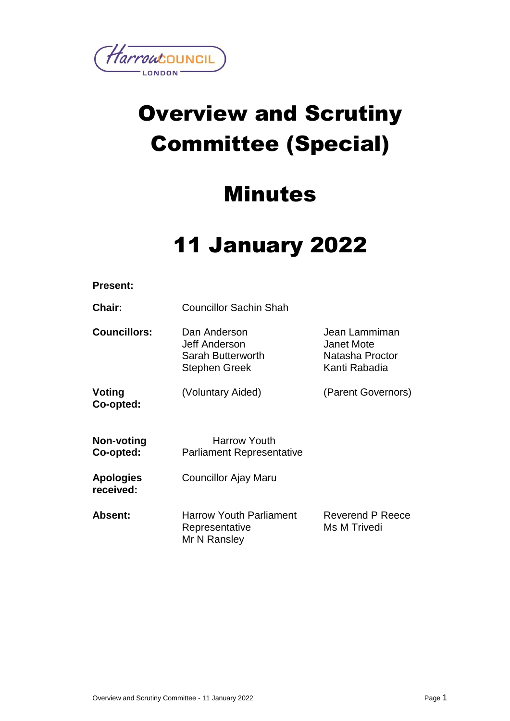

# Overview and Scrutiny Committee (Special)

# Minutes

# 11 January 2022

| <b>Present:</b>               |                                                                            |                                                                 |
|-------------------------------|----------------------------------------------------------------------------|-----------------------------------------------------------------|
| Chair:                        | <b>Councillor Sachin Shah</b>                                              |                                                                 |
| <b>Councillors:</b>           | Dan Anderson<br>Jeff Anderson<br>Sarah Butterworth<br><b>Stephen Greek</b> | Jean Lammiman<br>Janet Mote<br>Natasha Proctor<br>Kanti Rabadia |
| Voting<br>Co-opted:           | (Voluntary Aided)                                                          | (Parent Governors)                                              |
| Non-voting<br>Co-opted:       | <b>Harrow Youth</b><br><b>Parliament Representative</b>                    |                                                                 |
| <b>Apologies</b><br>received: | Councillor Ajay Maru                                                       |                                                                 |
| Absent:                       | <b>Harrow Youth Parliament</b><br>Representative<br>Mr N Ransley           | Reverend P Reece<br>Ms M Trivedi                                |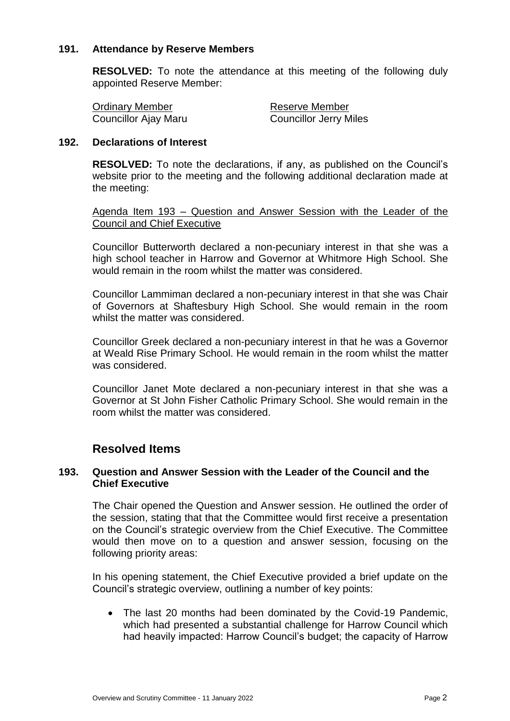# **191. Attendance by Reserve Members**

**RESOLVED:** To note the attendance at this meeting of the following duly appointed Reserve Member:

Councillor Ajay Maru

**Ordinary Member Councillor Alax Councillor Alay Maru Councillor Jerry Miles** 

# **192. Declarations of Interest**

**RESOLVED:** To note the declarations, if any, as published on the Council's website prior to the meeting and the following additional declaration made at the meeting:

Agenda Item 193 – Question and Answer Session with the Leader of the Council and Chief Executive

Councillor Butterworth declared a non-pecuniary interest in that she was a high school teacher in Harrow and Governor at Whitmore High School. She would remain in the room whilst the matter was considered.

Councillor Lammiman declared a non-pecuniary interest in that she was Chair of Governors at Shaftesbury High School. She would remain in the room whilst the matter was considered.

Councillor Greek declared a non-pecuniary interest in that he was a Governor at Weald Rise Primary School. He would remain in the room whilst the matter was considered.

Councillor Janet Mote declared a non-pecuniary interest in that she was a Governor at St John Fisher Catholic Primary School. She would remain in the room whilst the matter was considered.

# **Resolved Items**

# **193. Question and Answer Session with the Leader of the Council and the Chief Executive**

The Chair opened the Question and Answer session. He outlined the order of the session, stating that that the Committee would first receive a presentation on the Council's strategic overview from the Chief Executive. The Committee would then move on to a question and answer session, focusing on the following priority areas:

In his opening statement, the Chief Executive provided a brief update on the Council's strategic overview, outlining a number of key points:

 The last 20 months had been dominated by the Covid-19 Pandemic, which had presented a substantial challenge for Harrow Council which had heavily impacted: Harrow Council's budget; the capacity of Harrow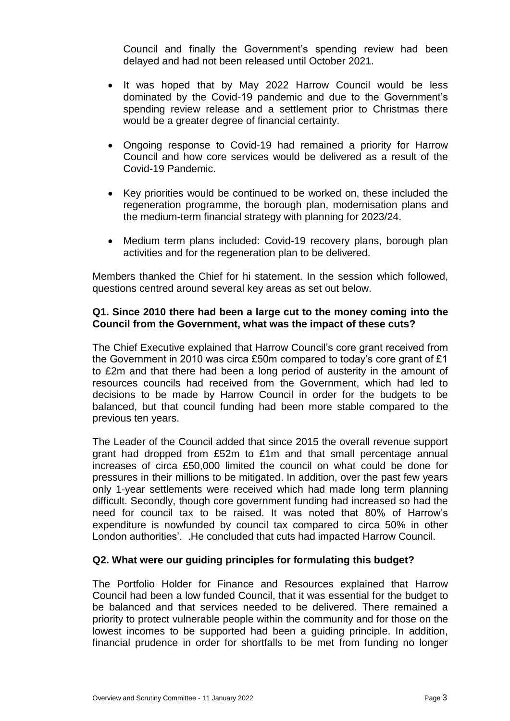Council and finally the Government's spending review had been delayed and had not been released until October 2021.

- It was hoped that by May 2022 Harrow Council would be less dominated by the Covid-19 pandemic and due to the Government's spending review release and a settlement prior to Christmas there would be a greater degree of financial certainty.
- Ongoing response to Covid-19 had remained a priority for Harrow Council and how core services would be delivered as a result of the Covid-19 Pandemic.
- Key priorities would be continued to be worked on, these included the regeneration programme, the borough plan, modernisation plans and the medium-term financial strategy with planning for 2023/24.
- Medium term plans included: Covid-19 recovery plans, borough plan activities and for the regeneration plan to be delivered.

Members thanked the Chief for hi statement. In the session which followed, questions centred around several key areas as set out below.

# **Q1. Since 2010 there had been a large cut to the money coming into the Council from the Government, what was the impact of these cuts?**

The Chief Executive explained that Harrow Council's core grant received from the Government in 2010 was circa £50m compared to today's core grant of £1 to £2m and that there had been a long period of austerity in the amount of resources councils had received from the Government, which had led to decisions to be made by Harrow Council in order for the budgets to be balanced, but that council funding had been more stable compared to the previous ten years.

The Leader of the Council added that since 2015 the overall revenue support grant had dropped from £52m to £1m and that small percentage annual increases of circa £50,000 limited the council on what could be done for pressures in their millions to be mitigated. In addition, over the past few years only 1-year settlements were received which had made long term planning difficult. Secondly, though core government funding had increased so had the need for council tax to be raised. It was noted that 80% of Harrow's expenditure is nowfunded by council tax compared to circa 50% in other London authorities'. .He concluded that cuts had impacted Harrow Council.

# **Q2. What were our guiding principles for formulating this budget?**

The Portfolio Holder for Finance and Resources explained that Harrow Council had been a low funded Council, that it was essential for the budget to be balanced and that services needed to be delivered. There remained a priority to protect vulnerable people within the community and for those on the lowest incomes to be supported had been a guiding principle. In addition, financial prudence in order for shortfalls to be met from funding no longer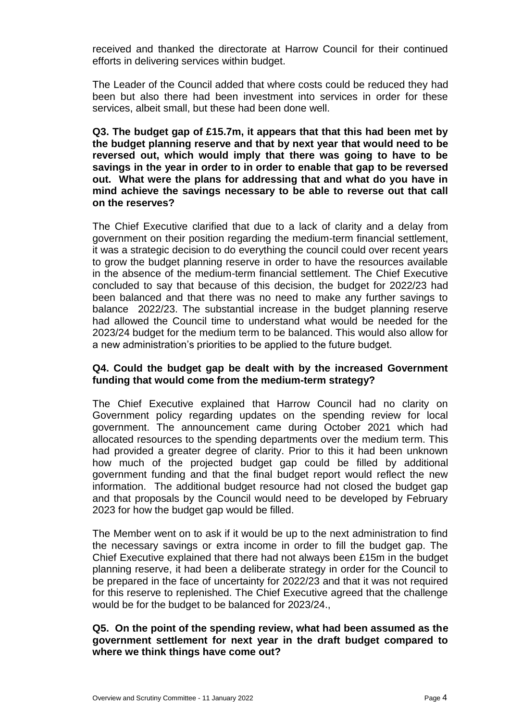received and thanked the directorate at Harrow Council for their continued efforts in delivering services within budget.

The Leader of the Council added that where costs could be reduced they had been but also there had been investment into services in order for these services, albeit small, but these had been done well.

**Q3. The budget gap of £15.7m, it appears that that this had been met by the budget planning reserve and that by next year that would need to be reversed out, which would imply that there was going to have to be savings in the year in order to in order to enable that gap to be reversed out. What were the plans for addressing that and what do you have in mind achieve the savings necessary to be able to reverse out that call on the reserves?**

The Chief Executive clarified that due to a lack of clarity and a delay from government on their position regarding the medium-term financial settlement, it was a strategic decision to do everything the council could over recent years to grow the budget planning reserve in order to have the resources available in the absence of the medium-term financial settlement. The Chief Executive concluded to say that because of this decision, the budget for 2022/23 had been balanced and that there was no need to make any further savings to balance 2022/23. The substantial increase in the budget planning reserve had allowed the Council time to understand what would be needed for the 2023/24 budget for the medium term to be balanced. This would also allow for a new administration's priorities to be applied to the future budget.

# **Q4. Could the budget gap be dealt with by the increased Government funding that would come from the medium-term strategy?**

The Chief Executive explained that Harrow Council had no clarity on Government policy regarding updates on the spending review for local government. The announcement came during October 2021 which had allocated resources to the spending departments over the medium term. This had provided a greater degree of clarity. Prior to this it had been unknown how much of the projected budget gap could be filled by additional government funding and that the final budget report would reflect the new information. The additional budget resource had not closed the budget gap and that proposals by the Council would need to be developed by February 2023 for how the budget gap would be filled.

The Member went on to ask if it would be up to the next administration to find the necessary savings or extra income in order to fill the budget gap. The Chief Executive explained that there had not always been £15m in the budget planning reserve, it had been a deliberate strategy in order for the Council to be prepared in the face of uncertainty for 2022/23 and that it was not required for this reserve to replenished. The Chief Executive agreed that the challenge would be for the budget to be balanced for 2023/24.,

# **Q5. On the point of the spending review, what had been assumed as the government settlement for next year in the draft budget compared to where we think things have come out?**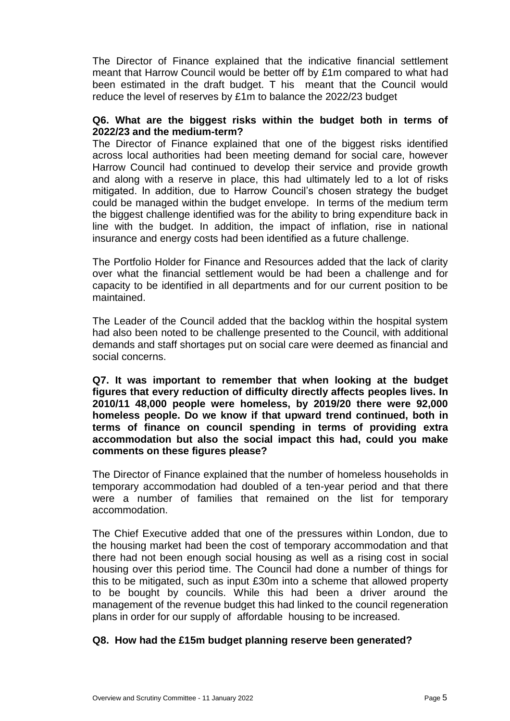The Director of Finance explained that the indicative financial settlement meant that Harrow Council would be better off by £1m compared to what had been estimated in the draft budget. T his meant that the Council would reduce the level of reserves by £1m to balance the 2022/23 budget

#### **Q6. What are the biggest risks within the budget both in terms of 2022/23 and the medium-term?**

The Director of Finance explained that one of the biggest risks identified across local authorities had been meeting demand for social care, however Harrow Council had continued to develop their service and provide growth and along with a reserve in place, this had ultimately led to a lot of risks mitigated. In addition, due to Harrow Council's chosen strategy the budget could be managed within the budget envelope. In terms of the medium term the biggest challenge identified was for the ability to bring expenditure back in line with the budget. In addition, the impact of inflation, rise in national insurance and energy costs had been identified as a future challenge.

The Portfolio Holder for Finance and Resources added that the lack of clarity over what the financial settlement would be had been a challenge and for capacity to be identified in all departments and for our current position to be maintained.

The Leader of the Council added that the backlog within the hospital system had also been noted to be challenge presented to the Council, with additional demands and staff shortages put on social care were deemed as financial and social concerns.

**Q7. It was important to remember that when looking at the budget figures that every reduction of difficulty directly affects peoples lives. In 2010/11 48,000 people were homeless, by 2019/20 there were 92,000 homeless people. Do we know if that upward trend continued, both in terms of finance on council spending in terms of providing extra accommodation but also the social impact this had, could you make comments on these figures please?** 

The Director of Finance explained that the number of homeless households in temporary accommodation had doubled of a ten-year period and that there were a number of families that remained on the list for temporary accommodation.

The Chief Executive added that one of the pressures within London, due to the housing market had been the cost of temporary accommodation and that there had not been enough social housing as well as a rising cost in social housing over this period time. The Council had done a number of things for this to be mitigated, such as input £30m into a scheme that allowed property to be bought by councils. While this had been a driver around the management of the revenue budget this had linked to the council regeneration plans in order for our supply of affordable housing to be increased.

# **Q8. How had the £15m budget planning reserve been generated?**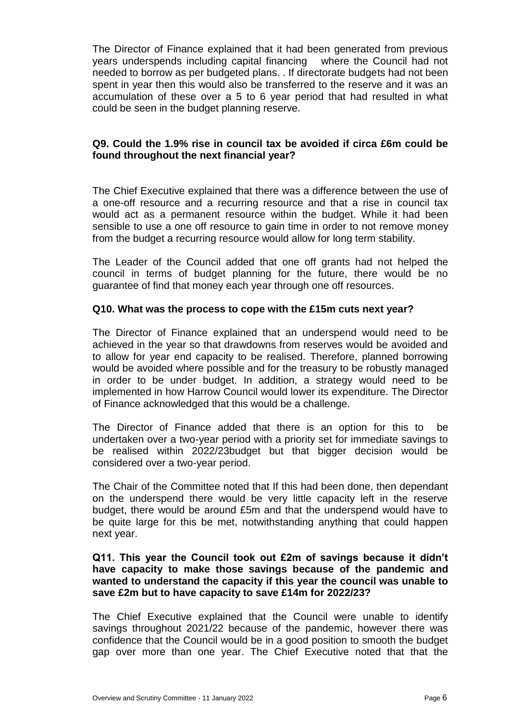The Director of Finance explained that it had been generated from previous years underspends including capital financing where the Council had not needed to borrow as per budgeted plans. . If directorate budgets had not been spent in year then this would also be transferred to the reserve and it was an accumulation of these over a 5 to 6 year period that had resulted in what could be seen in the budget planning reserve.

# **Q9. Could the 1.9% rise in council tax be avoided if circa £6m could be found throughout the next financial year?**

The Chief Executive explained that there was a difference between the use of a one-off resource and a recurring resource and that a rise in council tax would act as a permanent resource within the budget. While it had been sensible to use a one off resource to gain time in order to not remove money from the budget a recurring resource would allow for long term stability.

The Leader of the Council added that one off grants had not helped the council in terms of budget planning for the future, there would be no guarantee of find that money each year through one off resources.

# **Q10. What was the process to cope with the £15m cuts next year?**

The Director of Finance explained that an underspend would need to be achieved in the year so that drawdowns from reserves would be avoided and to allow for year end capacity to be realised. Therefore, planned borrowing would be avoided where possible and for the treasury to be robustly managed in order to be under budget. In addition, a strategy would need to be implemented in how Harrow Council would lower its expenditure. The Director of Finance acknowledged that this would be a challenge.

The Director of Finance added that there is an option for this to be undertaken over a two-year period with a priority set for immediate savings to be realised within 2022/23budget but that bigger decision would be considered over a two-year period.

The Chair of the Committee noted that If this had been done, then dependant on the underspend there would be very little capacity left in the reserve budget, there would be around £5m and that the underspend would have to be quite large for this be met, notwithstanding anything that could happen next year.

# **Q11. This year the Council took out £2m of savings because it didn't have capacity to make those savings because of the pandemic and wanted to understand the capacity if this year the council was unable to save £2m but to have capacity to save £14m for 2022/23?**

The Chief Executive explained that the Council were unable to identify savings throughout 2021/22 because of the pandemic, however there was confidence that the Council would be in a good position to smooth the budget gap over more than one year. The Chief Executive noted that that the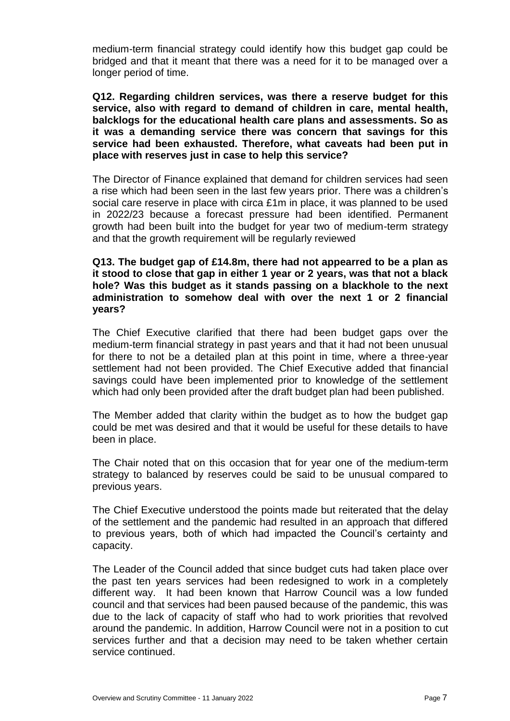medium-term financial strategy could identify how this budget gap could be bridged and that it meant that there was a need for it to be managed over a longer period of time.

**Q12. Regarding children services, was there a reserve budget for this service, also with regard to demand of children in care, mental health, balcklogs for the educational health care plans and assessments. So as it was a demanding service there was concern that savings for this service had been exhausted. Therefore, what caveats had been put in place with reserves just in case to help this service?** 

The Director of Finance explained that demand for children services had seen a rise which had been seen in the last few years prior. There was a children's social care reserve in place with circa £1m in place, it was planned to be used in 2022/23 because a forecast pressure had been identified. Permanent growth had been built into the budget for year two of medium-term strategy and that the growth requirement will be regularly reviewed

# **Q13. The budget gap of £14.8m, there had not appearred to be a plan as it stood to close that gap in either 1 year or 2 years, was that not a black hole? Was this budget as it stands passing on a blackhole to the next administration to somehow deal with over the next 1 or 2 financial years?**

The Chief Executive clarified that there had been budget gaps over the medium-term financial strategy in past years and that it had not been unusual for there to not be a detailed plan at this point in time, where a three-year settlement had not been provided. The Chief Executive added that financial savings could have been implemented prior to knowledge of the settlement which had only been provided after the draft budget plan had been published.

The Member added that clarity within the budget as to how the budget gap could be met was desired and that it would be useful for these details to have been in place.

The Chair noted that on this occasion that for year one of the medium-term strategy to balanced by reserves could be said to be unusual compared to previous years.

The Chief Executive understood the points made but reiterated that the delay of the settlement and the pandemic had resulted in an approach that differed to previous years, both of which had impacted the Council's certainty and capacity.

The Leader of the Council added that since budget cuts had taken place over the past ten years services had been redesigned to work in a completely different way. It had been known that Harrow Council was a low funded council and that services had been paused because of the pandemic, this was due to the lack of capacity of staff who had to work priorities that revolved around the pandemic. In addition, Harrow Council were not in a position to cut services further and that a decision may need to be taken whether certain service continued.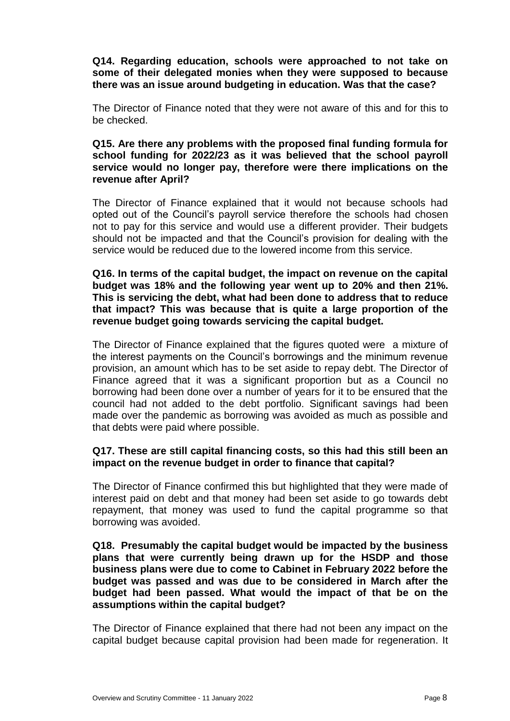# **Q14. Regarding education, schools were approached to not take on some of their delegated monies when they were supposed to because there was an issue around budgeting in education. Was that the case?**

The Director of Finance noted that they were not aware of this and for this to be checked.

# **Q15. Are there any problems with the proposed final funding formula for school funding for 2022/23 as it was believed that the school payroll service would no longer pay, therefore were there implications on the revenue after April?**

The Director of Finance explained that it would not because schools had opted out of the Council's payroll service therefore the schools had chosen not to pay for this service and would use a different provider. Their budgets should not be impacted and that the Council's provision for dealing with the service would be reduced due to the lowered income from this service.

# **Q16. In terms of the capital budget, the impact on revenue on the capital budget was 18% and the following year went up to 20% and then 21%. This is servicing the debt, what had been done to address that to reduce that impact? This was because that is quite a large proportion of the revenue budget going towards servicing the capital budget.**

The Director of Finance explained that the figures quoted were a mixture of the interest payments on the Council's borrowings and the minimum revenue provision, an amount which has to be set aside to repay debt. The Director of Finance agreed that it was a significant proportion but as a Council no borrowing had been done over a number of years for it to be ensured that the council had not added to the debt portfolio. Significant savings had been made over the pandemic as borrowing was avoided as much as possible and that debts were paid where possible.

# **Q17. These are still capital financing costs, so this had this still been an impact on the revenue budget in order to finance that capital?**

The Director of Finance confirmed this but highlighted that they were made of interest paid on debt and that money had been set aside to go towards debt repayment, that money was used to fund the capital programme so that borrowing was avoided.

# **Q18. Presumably the capital budget would be impacted by the business plans that were currently being drawn up for the HSDP and those business plans were due to come to Cabinet in February 2022 before the budget was passed and was due to be considered in March after the budget had been passed. What would the impact of that be on the assumptions within the capital budget?**

The Director of Finance explained that there had not been any impact on the capital budget because capital provision had been made for regeneration. It